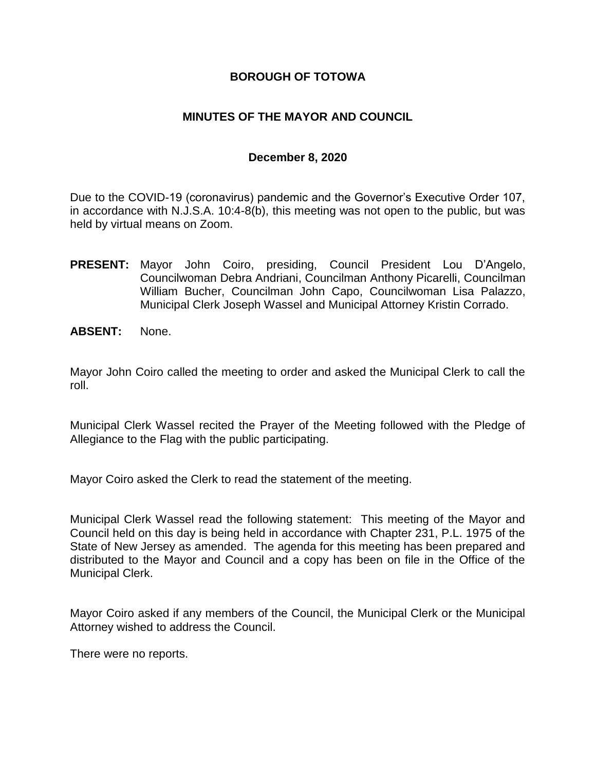## **BOROUGH OF TOTOWA**

## **MINUTES OF THE MAYOR AND COUNCIL**

### **December 8, 2020**

Due to the COVID-19 (coronavirus) pandemic and the Governor's Executive Order 107, in accordance with N.J.S.A. 10:4-8(b), this meeting was not open to the public, but was held by virtual means on Zoom.

- **PRESENT:** Mayor John Coiro, presiding, Council President Lou D"Angelo, Councilwoman Debra Andriani, Councilman Anthony Picarelli, Councilman William Bucher, Councilman John Capo, Councilwoman Lisa Palazzo, Municipal Clerk Joseph Wassel and Municipal Attorney Kristin Corrado.
- **ABSENT:** None.

Mayor John Coiro called the meeting to order and asked the Municipal Clerk to call the roll.

Municipal Clerk Wassel recited the Prayer of the Meeting followed with the Pledge of Allegiance to the Flag with the public participating.

Mayor Coiro asked the Clerk to read the statement of the meeting.

Municipal Clerk Wassel read the following statement: This meeting of the Mayor and Council held on this day is being held in accordance with Chapter 231, P.L. 1975 of the State of New Jersey as amended. The agenda for this meeting has been prepared and distributed to the Mayor and Council and a copy has been on file in the Office of the Municipal Clerk.

Mayor Coiro asked if any members of the Council, the Municipal Clerk or the Municipal Attorney wished to address the Council.

There were no reports.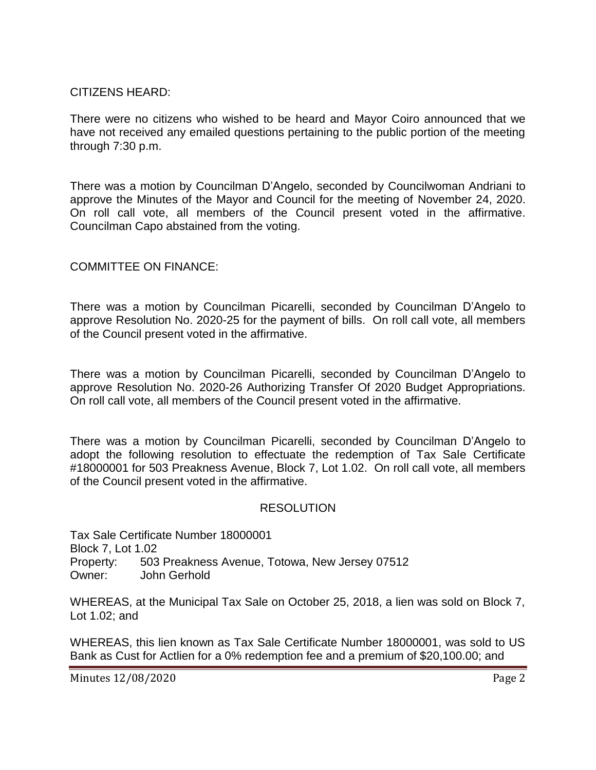## CITIZENS HEARD:

There were no citizens who wished to be heard and Mayor Coiro announced that we have not received any emailed questions pertaining to the public portion of the meeting through 7:30 p.m.

There was a motion by Councilman D"Angelo, seconded by Councilwoman Andriani to approve the Minutes of the Mayor and Council for the meeting of November 24, 2020. On roll call vote, all members of the Council present voted in the affirmative. Councilman Capo abstained from the voting.

# COMMITTEE ON FINANCE:

There was a motion by Councilman Picarelli, seconded by Councilman D"Angelo to approve Resolution No. 2020-25 for the payment of bills. On roll call vote, all members of the Council present voted in the affirmative.

There was a motion by Councilman Picarelli, seconded by Councilman D"Angelo to approve Resolution No. 2020-26 Authorizing Transfer Of 2020 Budget Appropriations. On roll call vote, all members of the Council present voted in the affirmative.

There was a motion by Councilman Picarelli, seconded by Councilman D"Angelo to adopt the following resolution to effectuate the redemption of Tax Sale Certificate #18000001 for 503 Preakness Avenue, Block 7, Lot 1.02. On roll call vote, all members of the Council present voted in the affirmative.

### RESOLUTION

Tax Sale Certificate Number 18000001 Block 7, Lot 1.02 Property: 503 Preakness Avenue, Totowa, New Jersey 07512 Owner: John Gerhold

WHEREAS, at the Municipal Tax Sale on October 25, 2018, a lien was sold on Block 7, Lot 1.02; and

WHEREAS, this lien known as Tax Sale Certificate Number 18000001, was sold to US Bank as Cust for Actlien for a 0% redemption fee and a premium of \$20,100.00; and

Minutes 12/08/2020 **Page 2**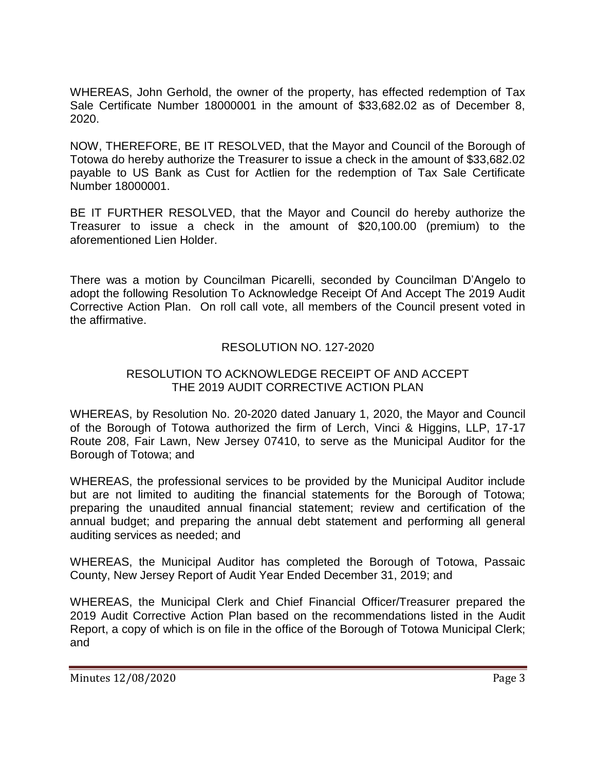WHEREAS, John Gerhold, the owner of the property, has effected redemption of Tax Sale Certificate Number 18000001 in the amount of \$33,682.02 as of December 8, 2020.

NOW, THEREFORE, BE IT RESOLVED, that the Mayor and Council of the Borough of Totowa do hereby authorize the Treasurer to issue a check in the amount of \$33,682.02 payable to US Bank as Cust for Actlien for the redemption of Tax Sale Certificate Number 18000001.

BE IT FURTHER RESOLVED, that the Mayor and Council do hereby authorize the Treasurer to issue a check in the amount of \$20,100.00 (premium) to the aforementioned Lien Holder.

There was a motion by Councilman Picarelli, seconded by Councilman D"Angelo to adopt the following Resolution To Acknowledge Receipt Of And Accept The 2019 Audit Corrective Action Plan. On roll call vote, all members of the Council present voted in the affirmative.

## RESOLUTION NO. 127-2020

### RESOLUTION TO ACKNOWLEDGE RECEIPT OF AND ACCEPT THE 2019 AUDIT CORRECTIVE ACTION PLAN

WHEREAS, by Resolution No. 20-2020 dated January 1, 2020, the Mayor and Council of the Borough of Totowa authorized the firm of Lerch, Vinci & Higgins, LLP, 17-17 Route 208, Fair Lawn, New Jersey 07410, to serve as the Municipal Auditor for the Borough of Totowa; and

WHEREAS, the professional services to be provided by the Municipal Auditor include but are not limited to auditing the financial statements for the Borough of Totowa; preparing the unaudited annual financial statement; review and certification of the annual budget; and preparing the annual debt statement and performing all general auditing services as needed; and

WHEREAS, the Municipal Auditor has completed the Borough of Totowa, Passaic County, New Jersey Report of Audit Year Ended December 31, 2019; and

WHEREAS, the Municipal Clerk and Chief Financial Officer/Treasurer prepared the 2019 Audit Corrective Action Plan based on the recommendations listed in the Audit Report, a copy of which is on file in the office of the Borough of Totowa Municipal Clerk; and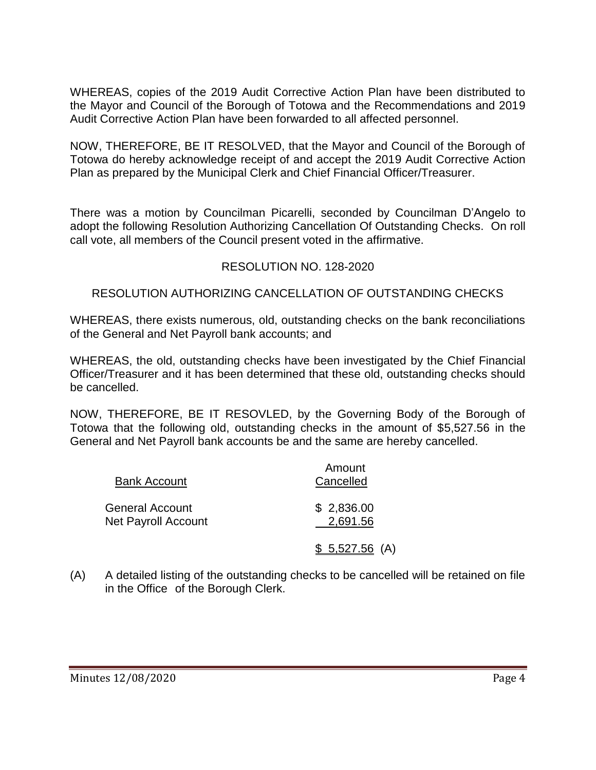WHEREAS, copies of the 2019 Audit Corrective Action Plan have been distributed to the Mayor and Council of the Borough of Totowa and the Recommendations and 2019 Audit Corrective Action Plan have been forwarded to all affected personnel.

NOW, THEREFORE, BE IT RESOLVED, that the Mayor and Council of the Borough of Totowa do hereby acknowledge receipt of and accept the 2019 Audit Corrective Action Plan as prepared by the Municipal Clerk and Chief Financial Officer/Treasurer.

There was a motion by Councilman Picarelli, seconded by Councilman D"Angelo to adopt the following Resolution Authorizing Cancellation Of Outstanding Checks. On roll call vote, all members of the Council present voted in the affirmative.

# RESOLUTION NO. 128-2020

## RESOLUTION AUTHORIZING CANCELLATION OF OUTSTANDING CHECKS

WHEREAS, there exists numerous, old, outstanding checks on the bank reconciliations of the General and Net Payroll bank accounts; and

WHEREAS, the old, outstanding checks have been investigated by the Chief Financial Officer/Treasurer and it has been determined that these old, outstanding checks should be cancelled.

NOW, THEREFORE, BE IT RESOVLED, by the Governing Body of the Borough of Totowa that the following old, outstanding checks in the amount of \$5,527.56 in the General and Net Payroll bank accounts be and the same are hereby cancelled.

| <b>Bank Account</b>                    | Amount<br>Cancelled    |
|----------------------------------------|------------------------|
| General Account<br>Net Payroll Account | \$2,836.00<br>2,691.56 |
|                                        | $$5,527.56$ (A)        |

(A) A detailed listing of the outstanding checks to be cancelled will be retained on file in the Office of the Borough Clerk.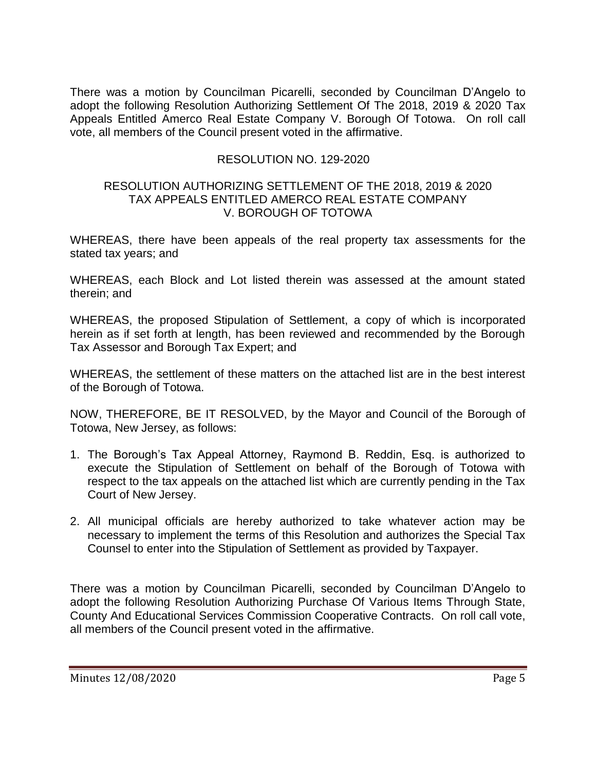There was a motion by Councilman Picarelli, seconded by Councilman D"Angelo to adopt the following Resolution Authorizing Settlement Of The 2018, 2019 & 2020 Tax Appeals Entitled Amerco Real Estate Company V. Borough Of Totowa. On roll call vote, all members of the Council present voted in the affirmative.

## RESOLUTION NO. 129-2020

#### RESOLUTION AUTHORIZING SETTLEMENT OF THE 2018, 2019 & 2020 TAX APPEALS ENTITLED AMERCO REAL ESTATE COMPANY V. BOROUGH OF TOTOWA

WHEREAS, there have been appeals of the real property tax assessments for the stated tax years; and

WHEREAS, each Block and Lot listed therein was assessed at the amount stated therein; and

WHEREAS, the proposed Stipulation of Settlement, a copy of which is incorporated herein as if set forth at length, has been reviewed and recommended by the Borough Tax Assessor and Borough Tax Expert; and

WHEREAS, the settlement of these matters on the attached list are in the best interest of the Borough of Totowa.

NOW, THEREFORE, BE IT RESOLVED, by the Mayor and Council of the Borough of Totowa, New Jersey, as follows:

- 1. The Borough"s Tax Appeal Attorney, Raymond B. Reddin, Esq. is authorized to execute the Stipulation of Settlement on behalf of the Borough of Totowa with respect to the tax appeals on the attached list which are currently pending in the Tax Court of New Jersey.
- 2. All municipal officials are hereby authorized to take whatever action may be necessary to implement the terms of this Resolution and authorizes the Special Tax Counsel to enter into the Stipulation of Settlement as provided by Taxpayer.

There was a motion by Councilman Picarelli, seconded by Councilman D"Angelo to adopt the following Resolution Authorizing Purchase Of Various Items Through State, County And Educational Services Commission Cooperative Contracts. On roll call vote, all members of the Council present voted in the affirmative.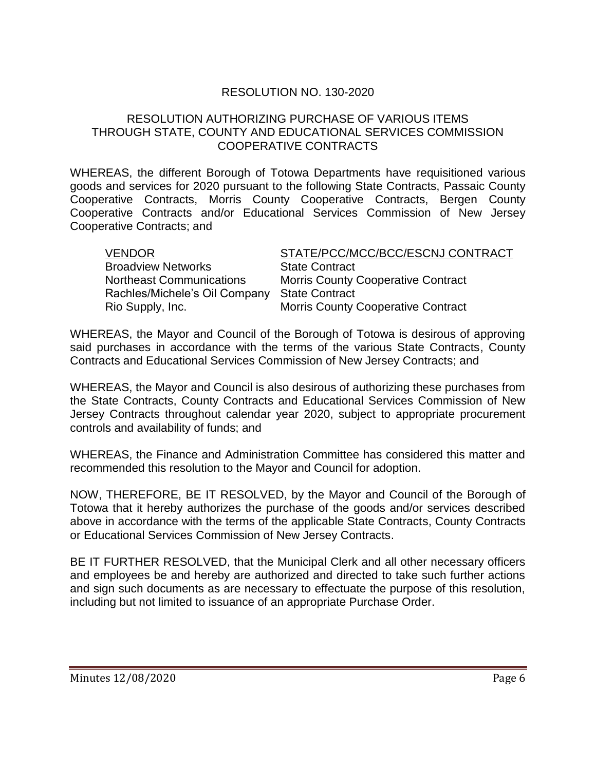## RESOLUTION NO. 130-2020

### RESOLUTION AUTHORIZING PURCHASE OF VARIOUS ITEMS THROUGH STATE, COUNTY AND EDUCATIONAL SERVICES COMMISSION COOPERATIVE CONTRACTS

WHEREAS, the different Borough of Totowa Departments have requisitioned various goods and services for 2020 pursuant to the following State Contracts, Passaic County Cooperative Contracts, Morris County Cooperative Contracts, Bergen County Cooperative Contracts and/or Educational Services Commission of New Jersey Cooperative Contracts; and

| <b>VENDOR</b>                   | STATE/PCC/MCC/BCC/ESCNJ CONTRACT          |
|---------------------------------|-------------------------------------------|
| <b>Broadview Networks</b>       | <b>State Contract</b>                     |
| <b>Northeast Communications</b> | <b>Morris County Cooperative Contract</b> |
| Rachles/Michele's Oil Company   | <b>State Contract</b>                     |
| Rio Supply, Inc.                | <b>Morris County Cooperative Contract</b> |

WHEREAS, the Mayor and Council of the Borough of Totowa is desirous of approving said purchases in accordance with the terms of the various State Contracts, County Contracts and Educational Services Commission of New Jersey Contracts; and

WHEREAS, the Mayor and Council is also desirous of authorizing these purchases from the State Contracts, County Contracts and Educational Services Commission of New Jersey Contracts throughout calendar year 2020, subject to appropriate procurement controls and availability of funds; and

WHEREAS, the Finance and Administration Committee has considered this matter and recommended this resolution to the Mayor and Council for adoption.

NOW, THEREFORE, BE IT RESOLVED, by the Mayor and Council of the Borough of Totowa that it hereby authorizes the purchase of the goods and/or services described above in accordance with the terms of the applicable State Contracts, County Contracts or Educational Services Commission of New Jersey Contracts.

BE IT FURTHER RESOLVED, that the Municipal Clerk and all other necessary officers and employees be and hereby are authorized and directed to take such further actions and sign such documents as are necessary to effectuate the purpose of this resolution, including but not limited to issuance of an appropriate Purchase Order.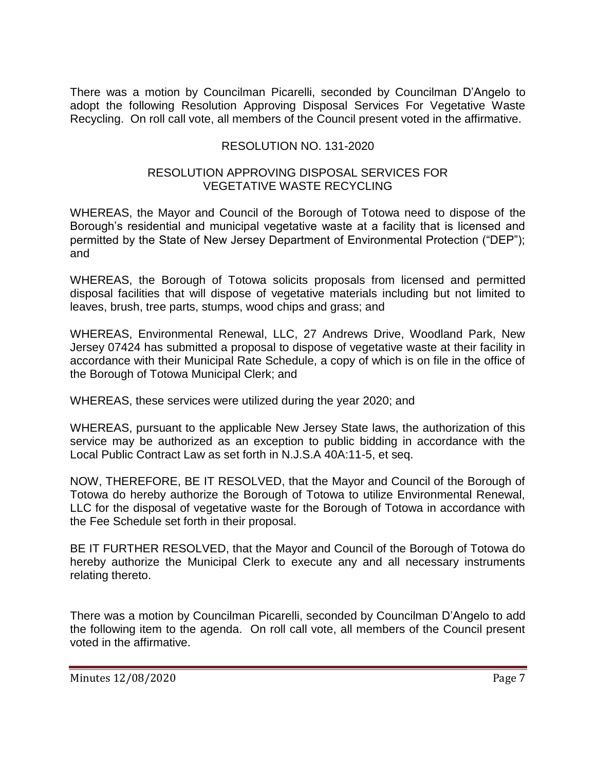There was a motion by Councilman Picarelli, seconded by Councilman D"Angelo to adopt the following Resolution Approving Disposal Services For Vegetative Waste Recycling. On roll call vote, all members of the Council present voted in the affirmative.

# RESOLUTION NO. 131-2020

## RESOLUTION APPROVING DISPOSAL SERVICES FOR VEGETATIVE WASTE RECYCLING

WHEREAS, the Mayor and Council of the Borough of Totowa need to dispose of the Borough's residential and municipal vegetative waste at a facility that is licensed and permitted by the State of New Jersey Department of Environmental Protection ("DEP"); and

WHEREAS, the Borough of Totowa solicits proposals from licensed and permitted disposal facilities that will dispose of vegetative materials including but not limited to leaves, brush, tree parts, stumps, wood chips and grass; and

WHEREAS, Environmental Renewal, LLC, 27 Andrews Drive, Woodland Park, New Jersey 07424 has submitted a proposal to dispose of vegetative waste at their facility in accordance with their Municipal Rate Schedule, a copy of which is on file in the office of the Borough of Totowa Municipal Clerk; and

WHEREAS, these services were utilized during the year 2020; and

WHEREAS, pursuant to the applicable New Jersey State laws, the authorization of this service may be authorized as an exception to public bidding in accordance with the Local Public Contract Law as set forth in N.J.S.A 40A:11-5, et seq.

NOW, THEREFORE, BE IT RESOLVED, that the Mayor and Council of the Borough of Totowa do hereby authorize the Borough of Totowa to utilize Environmental Renewal, LLC for the disposal of vegetative waste for the Borough of Totowa in accordance with the Fee Schedule set forth in their proposal.

BE IT FURTHER RESOLVED, that the Mayor and Council of the Borough of Totowa do hereby authorize the Municipal Clerk to execute any and all necessary instruments relating thereto.

There was a motion by Councilman Picarelli, seconded by Councilman D"Angelo to add the following item to the agenda. On roll call vote, all members of the Council present voted in the affirmative.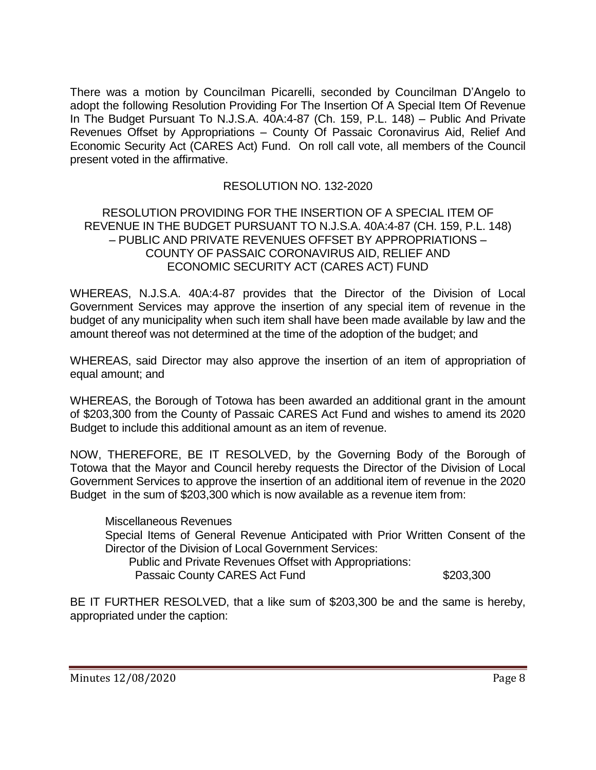There was a motion by Councilman Picarelli, seconded by Councilman D"Angelo to adopt the following Resolution Providing For The Insertion Of A Special Item Of Revenue In The Budget Pursuant To N.J.S.A. 40A:4-87 (Ch. 159, P.L. 148) – Public And Private Revenues Offset by Appropriations – County Of Passaic Coronavirus Aid, Relief And Economic Security Act (CARES Act) Fund. On roll call vote, all members of the Council present voted in the affirmative.

## RESOLUTION NO. 132-2020

### RESOLUTION PROVIDING FOR THE INSERTION OF A SPECIAL ITEM OF REVENUE IN THE BUDGET PURSUANT TO N.J.S.A. 40A:4-87 (CH. 159, P.L. 148) – PUBLIC AND PRIVATE REVENUES OFFSET BY APPROPRIATIONS – COUNTY OF PASSAIC CORONAVIRUS AID, RELIEF AND ECONOMIC SECURITY ACT (CARES ACT) FUND

WHEREAS, N.J.S.A. 40A:4-87 provides that the Director of the Division of Local Government Services may approve the insertion of any special item of revenue in the budget of any municipality when such item shall have been made available by law and the amount thereof was not determined at the time of the adoption of the budget; and

WHEREAS, said Director may also approve the insertion of an item of appropriation of equal amount; and

WHEREAS, the Borough of Totowa has been awarded an additional grant in the amount of \$203,300 from the County of Passaic CARES Act Fund and wishes to amend its 2020 Budget to include this additional amount as an item of revenue.

NOW, THEREFORE, BE IT RESOLVED, by the Governing Body of the Borough of Totowa that the Mayor and Council hereby requests the Director of the Division of Local Government Services to approve the insertion of an additional item of revenue in the 2020 Budget in the sum of \$203,300 which is now available as a revenue item from:

Miscellaneous Revenues Special Items of General Revenue Anticipated with Prior Written Consent of the Director of the Division of Local Government Services:

 Public and Private Revenues Offset with Appropriations: Passaic County CARES Act Fund \$203,300

BE IT FURTHER RESOLVED, that a like sum of \$203,300 be and the same is hereby, appropriated under the caption: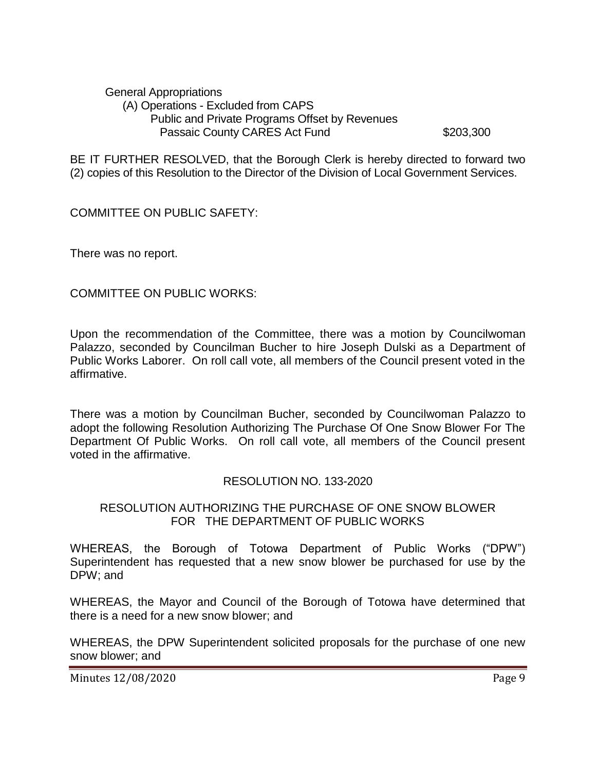General Appropriations (A) Operations - Excluded from CAPS Public and Private Programs Offset by Revenues Passaic County CARES Act Fund \$203,300

BE IT FURTHER RESOLVED, that the Borough Clerk is hereby directed to forward two (2) copies of this Resolution to the Director of the Division of Local Government Services.

COMMITTEE ON PUBLIC SAFETY:

There was no report.

COMMITTEE ON PUBLIC WORKS:

Upon the recommendation of the Committee, there was a motion by Councilwoman Palazzo, seconded by Councilman Bucher to hire Joseph Dulski as a Department of Public Works Laborer. On roll call vote, all members of the Council present voted in the affirmative.

There was a motion by Councilman Bucher, seconded by Councilwoman Palazzo to adopt the following Resolution Authorizing The Purchase Of One Snow Blower For The Department Of Public Works. On roll call vote, all members of the Council present voted in the affirmative.

### RESOLUTION NO. 133-2020

## RESOLUTION AUTHORIZING THE PURCHASE OF ONE SNOW BLOWER FOR THE DEPARTMENT OF PUBLIC WORKS

WHEREAS, the Borough of Totowa Department of Public Works ("DPW") Superintendent has requested that a new snow blower be purchased for use by the DPW; and

WHEREAS, the Mayor and Council of the Borough of Totowa have determined that there is a need for a new snow blower; and

WHEREAS, the DPW Superintendent solicited proposals for the purchase of one new snow blower; and

Minutes 12/08/2020 **Page 9**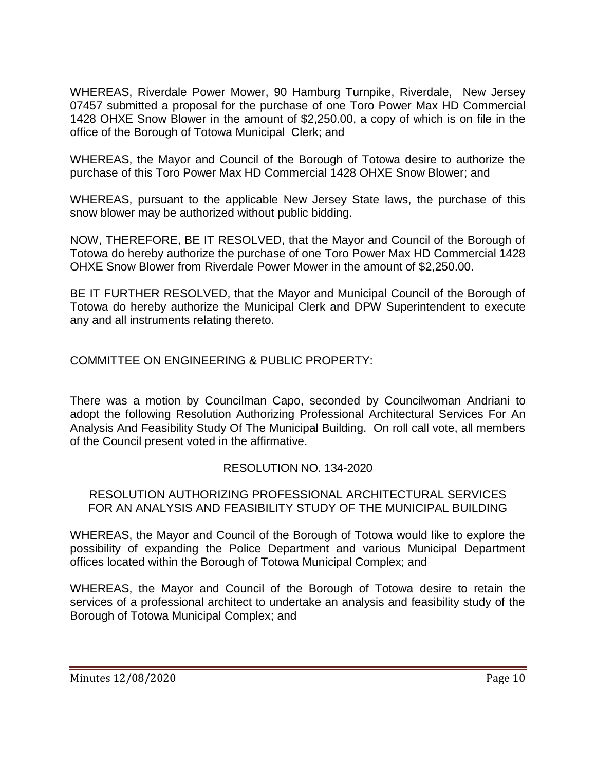WHEREAS, Riverdale Power Mower, 90 Hamburg Turnpike, Riverdale, New Jersey 07457 submitted a proposal for the purchase of one Toro Power Max HD Commercial 1428 OHXE Snow Blower in the amount of \$2,250.00, a copy of which is on file in the office of the Borough of Totowa Municipal Clerk; and

WHEREAS, the Mayor and Council of the Borough of Totowa desire to authorize the purchase of this Toro Power Max HD Commercial 1428 OHXE Snow Blower; and

WHEREAS, pursuant to the applicable New Jersey State laws, the purchase of this snow blower may be authorized without public bidding.

NOW, THEREFORE, BE IT RESOLVED, that the Mayor and Council of the Borough of Totowa do hereby authorize the purchase of one Toro Power Max HD Commercial 1428 OHXE Snow Blower from Riverdale Power Mower in the amount of \$2,250.00.

BE IT FURTHER RESOLVED, that the Mayor and Municipal Council of the Borough of Totowa do hereby authorize the Municipal Clerk and DPW Superintendent to execute any and all instruments relating thereto.

COMMITTEE ON ENGINEERING & PUBLIC PROPERTY:

There was a motion by Councilman Capo, seconded by Councilwoman Andriani to adopt the following Resolution Authorizing Professional Architectural Services For An Analysis And Feasibility Study Of The Municipal Building. On roll call vote, all members of the Council present voted in the affirmative.

# RESOLUTION NO. 134-2020

RESOLUTION AUTHORIZING PROFESSIONAL ARCHITECTURAL SERVICES FOR AN ANALYSIS AND FEASIBILITY STUDY OF THE MUNICIPAL BUILDING

WHEREAS, the Mayor and Council of the Borough of Totowa would like to explore the possibility of expanding the Police Department and various Municipal Department offices located within the Borough of Totowa Municipal Complex; and

WHEREAS, the Mayor and Council of the Borough of Totowa desire to retain the services of a professional architect to undertake an analysis and feasibility study of the Borough of Totowa Municipal Complex; and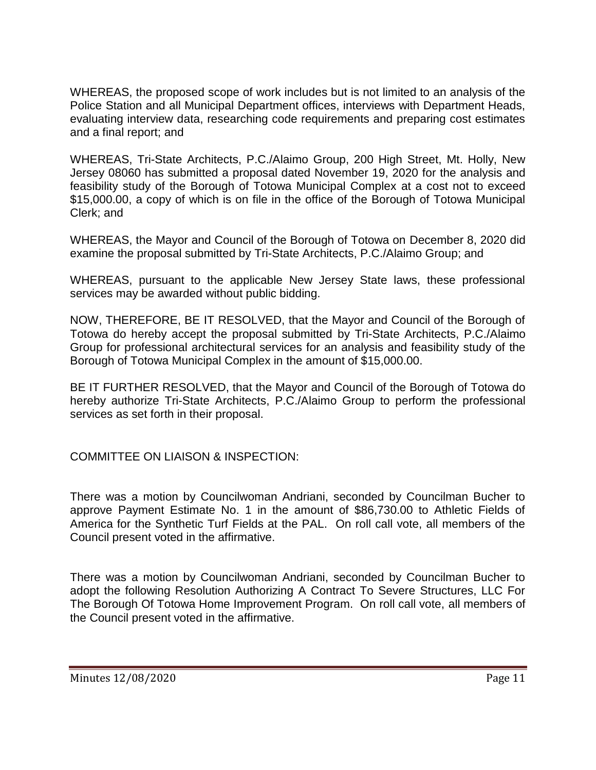WHEREAS, the proposed scope of work includes but is not limited to an analysis of the Police Station and all Municipal Department offices, interviews with Department Heads, evaluating interview data, researching code requirements and preparing cost estimates and a final report; and

WHEREAS, Tri-State Architects, P.C./Alaimo Group, 200 High Street, Mt. Holly, New Jersey 08060 has submitted a proposal dated November 19, 2020 for the analysis and feasibility study of the Borough of Totowa Municipal Complex at a cost not to exceed \$15,000.00, a copy of which is on file in the office of the Borough of Totowa Municipal Clerk; and

WHEREAS, the Mayor and Council of the Borough of Totowa on December 8, 2020 did examine the proposal submitted by Tri-State Architects, P.C./Alaimo Group; and

WHEREAS, pursuant to the applicable New Jersey State laws, these professional services may be awarded without public bidding.

NOW, THEREFORE, BE IT RESOLVED, that the Mayor and Council of the Borough of Totowa do hereby accept the proposal submitted by Tri-State Architects, P.C./Alaimo Group for professional architectural services for an analysis and feasibility study of the Borough of Totowa Municipal Complex in the amount of \$15,000.00.

BE IT FURTHER RESOLVED, that the Mayor and Council of the Borough of Totowa do hereby authorize Tri-State Architects, P.C./Alaimo Group to perform the professional services as set forth in their proposal.

COMMITTEE ON LIAISON & INSPECTION:

There was a motion by Councilwoman Andriani, seconded by Councilman Bucher to approve Payment Estimate No. 1 in the amount of \$86,730.00 to Athletic Fields of America for the Synthetic Turf Fields at the PAL. On roll call vote, all members of the Council present voted in the affirmative.

There was a motion by Councilwoman Andriani, seconded by Councilman Bucher to adopt the following Resolution Authorizing A Contract To Severe Structures, LLC For The Borough Of Totowa Home Improvement Program. On roll call vote, all members of the Council present voted in the affirmative.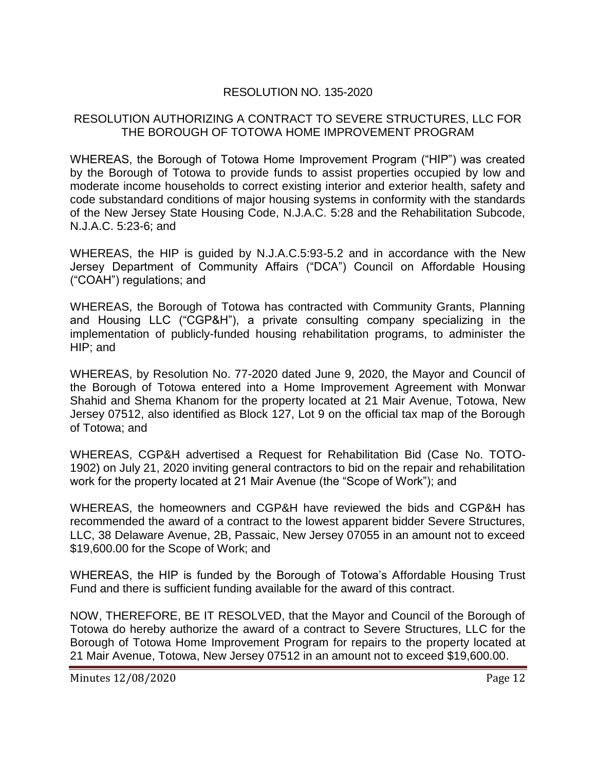# RESOLUTION NO. 135-2020

### RESOLUTION AUTHORIZING A CONTRACT TO SEVERE STRUCTURES, LLC FOR THE BOROUGH OF TOTOWA HOME IMPROVEMENT PROGRAM

WHEREAS, the Borough of Totowa Home Improvement Program ("HIP") was created by the Borough of Totowa to provide funds to assist properties occupied by low and moderate income households to correct existing interior and exterior health, safety and code substandard conditions of major housing systems in conformity with the standards of the New Jersey State Housing Code, N.J.A.C. 5:28 and the Rehabilitation Subcode, N.J.A.C. 5:23-6; and

WHEREAS, the HIP is guided by N.J.A.C.5:93-5.2 and in accordance with the New Jersey Department of Community Affairs ("DCA") Council on Affordable Housing ("COAH") regulations; and

WHEREAS, the Borough of Totowa has contracted with Community Grants, Planning and Housing LLC ("CGP&H"), a private consulting company specializing in the implementation of publicly-funded housing rehabilitation programs, to administer the HIP; and

WHEREAS, by Resolution No. 77-2020 dated June 9, 2020, the Mayor and Council of the Borough of Totowa entered into a Home Improvement Agreement with Monwar Shahid and Shema Khanom for the property located at 21 Mair Avenue, Totowa, New Jersey 07512, also identified as Block 127, Lot 9 on the official tax map of the Borough of Totowa; and

WHEREAS, CGP&H advertised a Request for Rehabilitation Bid (Case No. TOTO-1902) on July 21, 2020 inviting general contractors to bid on the repair and rehabilitation work for the property located at 21 Mair Avenue (the "Scope of Work"); and

WHEREAS, the homeowners and CGP&H have reviewed the bids and CGP&H has recommended the award of a contract to the lowest apparent bidder Severe Structures, LLC, 38 Delaware Avenue, 2B, Passaic, New Jersey 07055 in an amount not to exceed \$19,600.00 for the Scope of Work; and

WHEREAS, the HIP is funded by the Borough of Totowa"s Affordable Housing Trust Fund and there is sufficient funding available for the award of this contract.

NOW, THEREFORE, BE IT RESOLVED, that the Mayor and Council of the Borough of Totowa do hereby authorize the award of a contract to Severe Structures, LLC for the Borough of Totowa Home Improvement Program for repairs to the property located at 21 Mair Avenue, Totowa, New Jersey 07512 in an amount not to exceed \$19,600.00.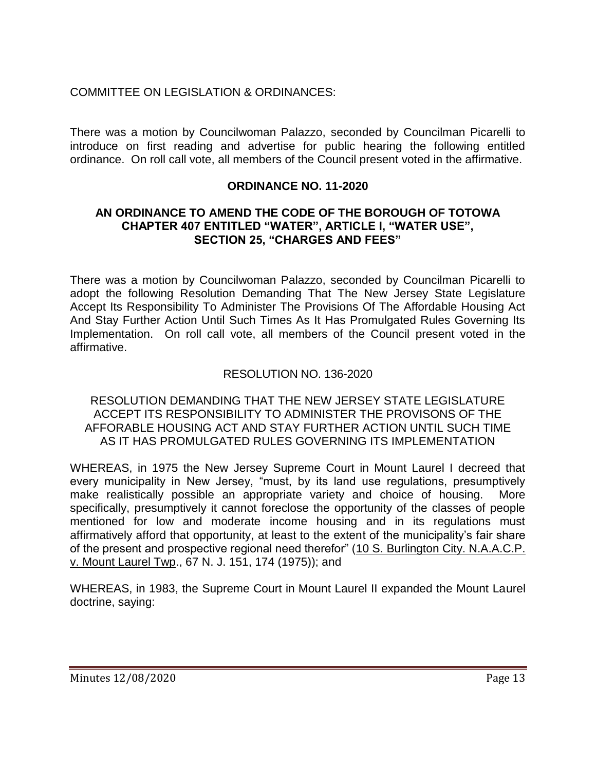# COMMITTEE ON LEGISLATION & ORDINANCES:

There was a motion by Councilwoman Palazzo, seconded by Councilman Picarelli to introduce on first reading and advertise for public hearing the following entitled ordinance. On roll call vote, all members of the Council present voted in the affirmative.

## **ORDINANCE NO. 11-2020**

### **AN ORDINANCE TO AMEND THE CODE OF THE BOROUGH OF TOTOWA CHAPTER 407 ENTITLED "WATER", ARTICLE I, "WATER USE", SECTION 25, "CHARGES AND FEES"**

There was a motion by Councilwoman Palazzo, seconded by Councilman Picarelli to adopt the following Resolution Demanding That The New Jersey State Legislature Accept Its Responsibility To Administer The Provisions Of The Affordable Housing Act And Stay Further Action Until Such Times As It Has Promulgated Rules Governing Its Implementation. On roll call vote, all members of the Council present voted in the affirmative.

## RESOLUTION NO. 136-2020

RESOLUTION DEMANDING THAT THE NEW JERSEY STATE LEGISLATURE ACCEPT ITS RESPONSIBILITY TO ADMINISTER THE PROVISONS OF THE AFFORABLE HOUSING ACT AND STAY FURTHER ACTION UNTIL SUCH TIME AS IT HAS PROMULGATED RULES GOVERNING ITS IMPLEMENTATION

WHEREAS, in 1975 the New Jersey Supreme Court in Mount Laurel I decreed that every municipality in New Jersey, "must, by its land use regulations, presumptively make realistically possible an appropriate variety and choice of housing. More specifically, presumptively it cannot foreclose the opportunity of the classes of people mentioned for low and moderate income housing and in its regulations must affirmatively afford that opportunity, at least to the extent of the municipality"s fair share of the present and prospective regional need therefor" (10 S. Burlington City. N.A.A.C.P. v. Mount Laurel Twp., 67 N. J. 151, 174 (1975)); and

WHEREAS, in 1983, the Supreme Court in Mount Laurel II expanded the Mount Laurel doctrine, saying: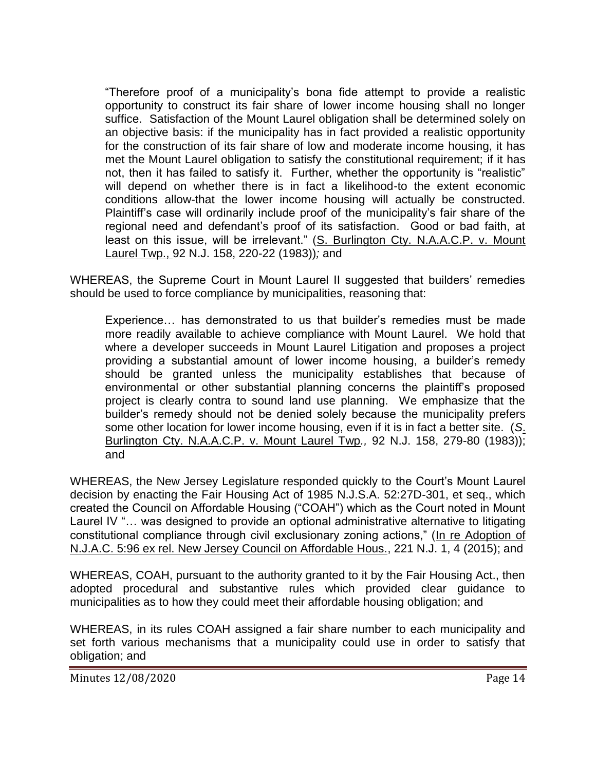"Therefore proof of a municipality"s bona fide attempt to provide a realistic opportunity to construct its fair share of lower income housing shall no longer suffice. Satisfaction of the Mount Laurel obligation shall be determined solely on an objective basis: if the municipality has in fact provided a realistic opportunity for the construction of its fair share of low and moderate income housing, it has met the Mount Laurel obligation to satisfy the constitutional requirement; if it has not, then it has failed to satisfy it. Further, whether the opportunity is "realistic" will depend on whether there is in fact a likelihood-to the extent economic conditions allow-that the lower income housing will actually be constructed. Plaintiff"s case will ordinarily include proof of the municipality"s fair share of the regional need and defendant"s proof of its satisfaction. Good or bad faith, at least on this issue, will be irrelevant." (S. Burlington Cty. N.A.A.C.P. v. Mount Laurel Twp., 92 N.J. 158, 220-22 (1983))*;* and

WHEREAS, the Supreme Court in Mount Laurel II suggested that builders' remedies should be used to force compliance by municipalities, reasoning that:

Experience… has demonstrated to us that builder"s remedies must be made more readily available to achieve compliance with Mount Laurel. We hold that where a developer succeeds in Mount Laurel Litigation and proposes a project providing a substantial amount of lower income housing, a builder"s remedy should be granted unless the municipality establishes that because of environmental or other substantial planning concerns the plaintiff's proposed project is clearly contra to sound land use planning. We emphasize that the builder"s remedy should not be denied solely because the municipality prefers some other location for lower income housing, even if it is in fact a better site. (*S*. Burlington Cty. N.A.A.C.P. v. Mount Laurel Twp*.,* 92 N.J. 158, 279-80 (1983)); and

WHEREAS, the New Jersey Legislature responded quickly to the Court's Mount Laurel decision by enacting the Fair Housing Act of 1985 N.J.S.A. 52:27D-301, et seq., which created the Council on Affordable Housing ("COAH") which as the Court noted in Mount Laurel IV "… was designed to provide an optional administrative alternative to litigating constitutional compliance through civil exclusionary zoning actions," (In re Adoption of N.J.A.C. 5:96 ex rel. New Jersey Council on Affordable Hous., 221 N.J. 1, 4 (2015); and

WHEREAS, COAH, pursuant to the authority granted to it by the Fair Housing Act., then adopted procedural and substantive rules which provided clear guidance to municipalities as to how they could meet their affordable housing obligation; and

WHEREAS, in its rules COAH assigned a fair share number to each municipality and set forth various mechanisms that a municipality could use in order to satisfy that obligation; and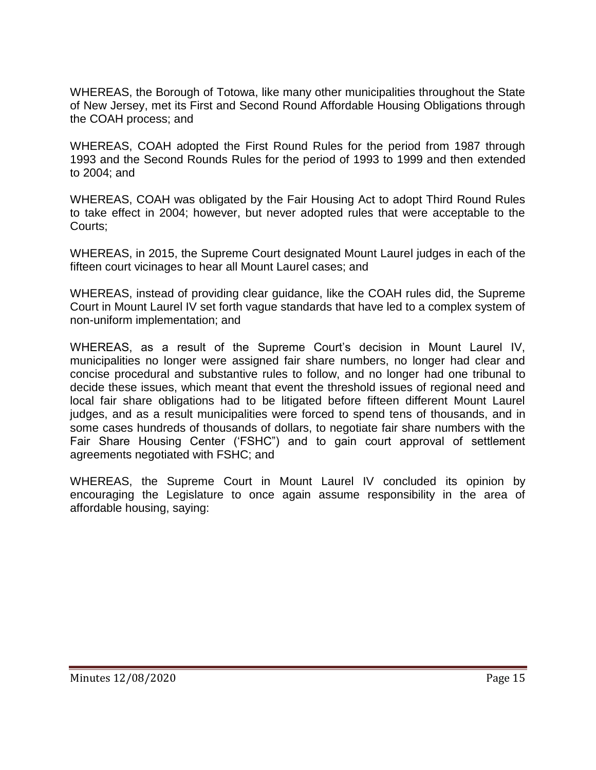WHEREAS, the Borough of Totowa, like many other municipalities throughout the State of New Jersey, met its First and Second Round Affordable Housing Obligations through the COAH process; and

WHEREAS, COAH adopted the First Round Rules for the period from 1987 through 1993 and the Second Rounds Rules for the period of 1993 to 1999 and then extended to 2004; and

WHEREAS, COAH was obligated by the Fair Housing Act to adopt Third Round Rules to take effect in 2004; however, but never adopted rules that were acceptable to the Courts;

WHEREAS, in 2015, the Supreme Court designated Mount Laurel judges in each of the fifteen court vicinages to hear all Mount Laurel cases; and

WHEREAS, instead of providing clear guidance, like the COAH rules did, the Supreme Court in Mount Laurel IV set forth vague standards that have led to a complex system of non-uniform implementation; and

WHEREAS, as a result of the Supreme Court"s decision in Mount Laurel IV, municipalities no longer were assigned fair share numbers, no longer had clear and concise procedural and substantive rules to follow, and no longer had one tribunal to decide these issues, which meant that event the threshold issues of regional need and local fair share obligations had to be litigated before fifteen different Mount Laurel judges, and as a result municipalities were forced to spend tens of thousands, and in some cases hundreds of thousands of dollars, to negotiate fair share numbers with the Fair Share Housing Center ("FSHC") and to gain court approval of settlement agreements negotiated with FSHC; and

WHEREAS, the Supreme Court in Mount Laurel IV concluded its opinion by encouraging the Legislature to once again assume responsibility in the area of affordable housing, saying: